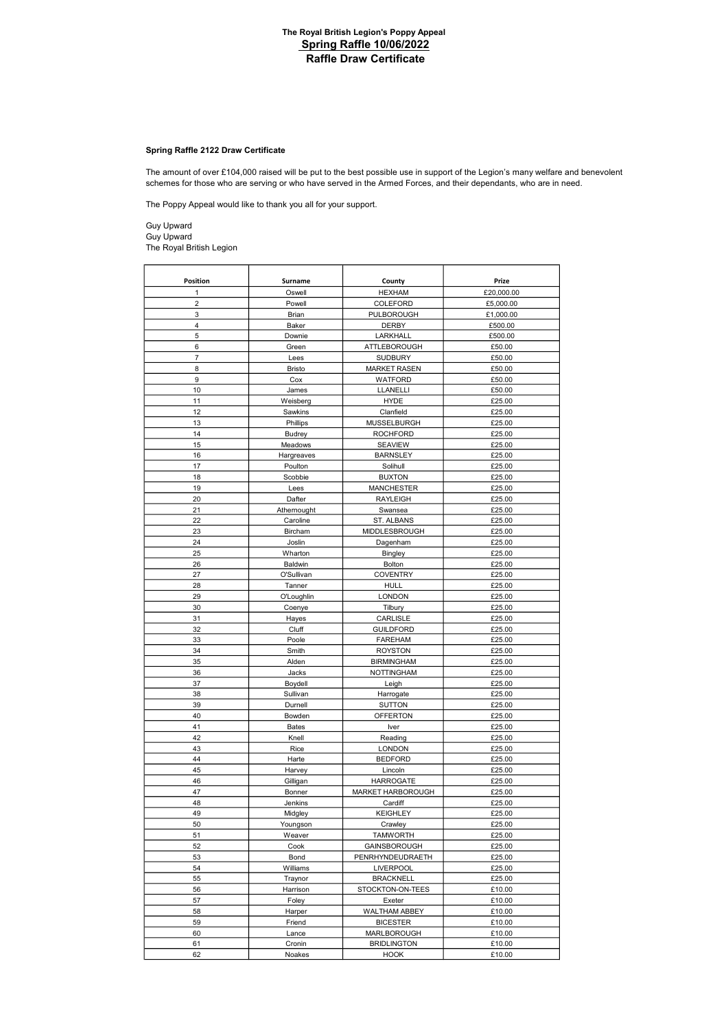# Spring Raffle 2122 Draw Certificate

schemes for those who are serving or who have served in the Armed Forces, and their dependants, who are in need. The amount of over £104,000 raised will be put to the best possible use in support of the Legion's many welfare and benevolent

The Poppy Appeal would like to thank you all for your support.

Guy Upward Guy Upward The Royal British Legion

| Position     | Surname       | County                          | Prize            |
|--------------|---------------|---------------------------------|------------------|
| $\mathbf{1}$ | Oswell        | <b>HEXHAM</b>                   | £20,000.00       |
| 2            | Powell        | COLEFORD                        | £5,000.00        |
| 3            | Brian         | PULBOROUGH                      | £1,000.00        |
| 4            | Baker         | DERBY                           | £500.00          |
| 5            | Downie        | LARKHALL                        | £500.00          |
| 6            | Green         | ATTLEBOROUGH                    | £50.00           |
| 7            | Lees          | <b>SUDBURY</b>                  | £50.00           |
| 8            | <b>Bristo</b> | <b>MARKET RASEN</b>             | £50.00           |
| 9            | Cox           | WATFORD                         | £50.00           |
| 10           | James         | LLANELLI                        | £50.00           |
| 11           | Weisberg      | <b>HYDE</b>                     | £25.00           |
| 12           | Sawkins       | Clanfield                       | £25.00           |
| 13           | Phillips      | MUSSELBURGH                     | £25.00           |
| 14           | <b>Budrey</b> | <b>ROCHFORD</b>                 | £25.00           |
| 15           | Meadows       | <b>SEAVIEW</b>                  | £25.00           |
| 16           | Hargreaves    | <b>BARNSLEY</b>                 | £25.00           |
| 17           | Poulton       | Solihull                        | £25.00           |
| 18           | Scobbie       | <b>BUXTON</b>                   | £25.00           |
| 19           | Lees          | <b>MANCHESTER</b>               | £25.00           |
| 20           | Dafter        | <b>RAYLEIGH</b>                 | £25.00           |
| 21           | Athernought   | Swansea                         | £25.00           |
| 22           | Caroline      | ST. ALBANS                      | £25.00           |
| 23           | Bircham       | MIDDLESBROUGH                   | £25.00           |
| 24           | Joslin        | Dagenham                        | £25.00           |
| 25           | Wharton       | <b>Bingley</b>                  | £25.00           |
| 26           | Baldwin       | Bolton                          | £25.00           |
| 27           | O'Sullivan    | <b>COVENTRY</b>                 | £25.00           |
| 28           | Tanner        | HULL                            | £25.00           |
| 29           | O'Loughlin    | <b>LONDON</b>                   | £25.00           |
| 30           | Coenye        | Tilbury                         | £25.00           |
| 31           | Hayes         | CARLISLE                        | £25.00           |
| 32           | Cluff         | <b>GUILDFORD</b>                | £25.00           |
| 33           | Poole         | <b>FAREHAM</b>                  | £25.00           |
| 34           | Smith         | <b>ROYSTON</b>                  | £25.00           |
| 35           | Alden         | <b>BIRMINGHAM</b>               | £25.00           |
| 36           | Jacks         | <b>NOTTINGHAM</b>               | £25.00           |
| 37           | Boydell       | Leigh                           | £25.00           |
| 38           | Sullivan      | Harrogate                       | £25.00           |
| 39           | Durnell       | <b>SUTTON</b>                   | £25.00           |
| 40<br>41     | Bowden        | <b>OFFERTON</b>                 | £25.00           |
| 42           | <b>Bates</b>  | Iver<br>Reading                 | £25.00           |
| 43           | Knell         |                                 | £25.00           |
| 44           | Rice<br>Harte | <b>LONDON</b><br><b>BEDFORD</b> | £25.00<br>£25.00 |
| 45           | Harvey        | Lincoln                         | £25.00           |
| 46           | Gilligan      | <b>HARROGATE</b>                | £25.00           |
| 47           | Bonner        | MARKET HARBOROUGH               | £25.00           |
| 48           | Jenkins       | Cardiff                         | £25.00           |
| 49           | Midgley       | <b>KEIGHLEY</b>                 | £25.00           |
| 50           | Youngson      | Crawley                         | £25.00           |
| 51           | Weaver        | <b>TAMWORTH</b>                 | £25.00           |
| 52           | Cook          | GAINSBOROUGH                    | £25.00           |
| 53           | Bond          | PENRHYNDEUDRAETH                | £25.00           |
| 54           | Williams      | <b>LIVERPOOL</b>                | £25.00           |
| 55           | Traynor       | <b>BRACKNELL</b>                | £25.00           |
| 56           | Harrison      | STOCKTON-ON-TEES                | £10.00           |
| 57           | Foley         | Exeter                          | £10.00           |
| 58           | Harper        | WALTHAM ABBEY                   | £10.00           |
| 59           | Friend        | <b>BICESTER</b>                 | £10.00           |
| 60           | Lance         | MARLBOROUGH                     | £10.00           |
| 61           | Cronin        | <b>BRIDLINGTON</b>              | £10.00           |
| 62           | Noakes        | <b>HOOK</b>                     | £10.00           |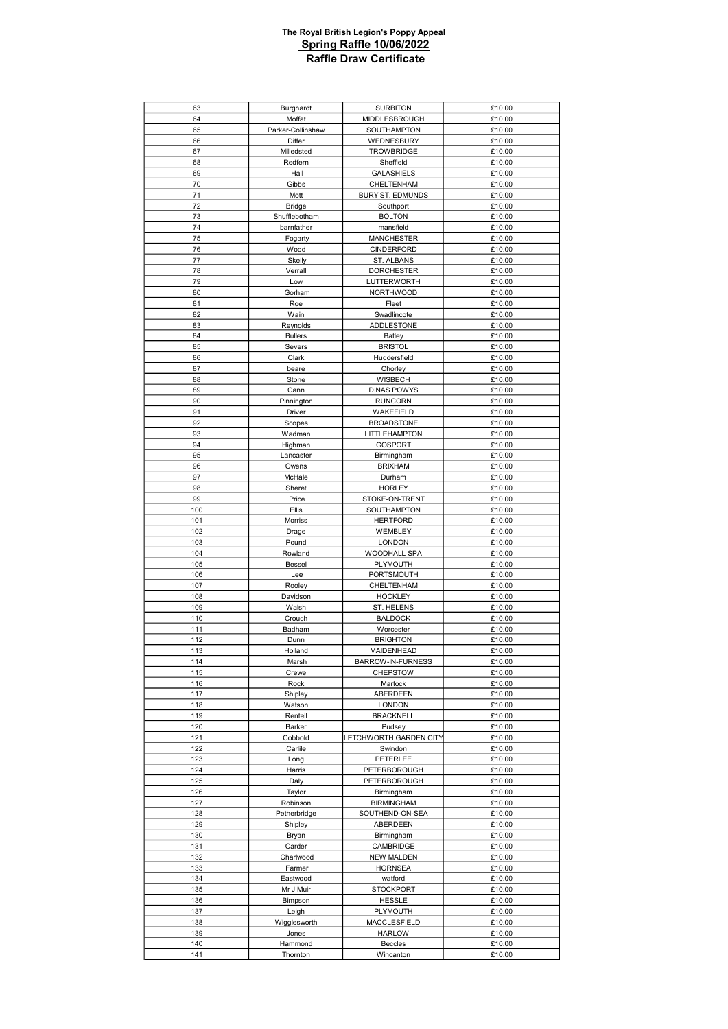| 63         | Burghardt             | <b>SURBITON</b>                      | £10.00           |
|------------|-----------------------|--------------------------------------|------------------|
| 64         | Moffat                | MIDDLESBROUGH                        | £10.00           |
| 65         | Parker-Collinshaw     | SOUTHAMPTON                          | £10.00           |
| 66         | Differ                | WEDNESBURY                           | £10.00           |
| 67         | Milledsted            | TROWBRIDGE                           | £10.00           |
| 68         | Redfern               | Sheffield                            | £10.00           |
| 69         | Hall                  | <b>GALASHIELS</b>                    | £10.00           |
| 70         | Gibbs                 | CHELTENHAM                           | £10.00           |
| 71         | Mott                  | BURY ST. EDMUNDS                     | £10.00           |
| 72         | <b>Bridge</b>         | Southport                            | £10.00           |
| 73         | Shufflebotham         | <b>BOLTON</b>                        | £10.00           |
| 74         | barnfather            | mansfield                            | £10.00           |
| 75         | Fogarty               | <b>MANCHESTER</b>                    | £10.00           |
| 76         | Wood                  | CINDERFORD                           | £10.00           |
| 77         | Skelly                | ST. ALBANS                           | £10.00           |
| 78         | Verrall               | <b>DORCHESTER</b>                    | £10.00           |
| 79         | Low                   | LUTTERWORTH                          | £10.00           |
| 80         | Gorham                | <b>NORTHWOOD</b>                     | £10.00           |
| 81         | Roe                   | Fleet                                | £10.00           |
| 82         | Wain                  | Swadlincote                          | £10.00           |
| 83         | Reynolds              | <b>ADDLESTONE</b>                    | £10.00           |
| 84         | <b>Bullers</b>        | Batley                               | £10.00           |
| 85         | Severs                | <b>BRISTOL</b>                       | £10.00           |
| 86         | Clark                 | Huddersfield                         | £10.00           |
| 87         | beare                 | Chorley                              | £10.00           |
| 88         | Stone                 | WISBECH                              | £10.00           |
| 89<br>90   | Cann                  | <b>DINAS POWYS</b><br><b>RUNCORN</b> | £10.00<br>£10.00 |
|            | Pinnington            |                                      |                  |
| 91<br>92   | Driver                | WAKEFIELD                            | £10.00           |
| 93         | Scopes                | <b>BROADSTONE</b>                    | £10.00<br>£10.00 |
| 94         | Wadman<br>Highman     | LITTLEHAMPTON<br><b>GOSPORT</b>      | £10.00           |
| 95         | Lancaster             | Birmingham                           | £10.00           |
| 96         | Owens                 | <b>BRIXHAM</b>                       | £10.00           |
| 97         | McHale                | Durham                               | £10.00           |
| 98         | Sheret                | <b>HORLEY</b>                        | £10.00           |
| 99         | Price                 | STOKE-ON-TRENT                       | £10.00           |
| 100        | Ellis                 | SOUTHAMPTON                          | £10.00           |
| 101        | Morriss               | <b>HERTFORD</b>                      | £10.00           |
| 102        | Drage                 | WEMBLEY                              | £10.00           |
| 103        | Pound                 | <b>LONDON</b>                        | £10.00           |
| 104        | Rowland               | WOODHALL SPA                         | £10.00           |
| 105        | Bessel                | PLYMOUTH                             | £10.00           |
| 106        | Lee                   | PORTSMOUTH                           | £10.00           |
| 107        | Rooley                | CHELTENHAM                           | £10.00           |
| 108        | Davidson              | <b>HOCKLEY</b>                       | £10.00           |
| 109        | Walsh                 | ST. HELENS                           | £10.00           |
| 110        | Crouch                | <b>BALDOCK</b>                       | £10.00           |
| 111        | Badham                | Worcester                            | £10.00           |
| 112        | Dunn                  | <b>BRIGHTON</b>                      | £10.00           |
| 113        | Holland               | MAIDENHEAD                           | £10.00           |
| 114        | Marsh                 | BARROW-IN-FURNESS                    | £10.00           |
| 115        | Crewe                 | <b>CHEPSTOW</b>                      | £10.00           |
| 116        | Rock                  | Martock                              | £10.00           |
| 117        | Shipley               | ABERDEEN                             | £10.00           |
| 118        | Watson                | <b>LONDON</b>                        | £10.00           |
| 119        | Rentell               | <b>BRACKNELL</b>                     | £10.00           |
| 120        | Barker                | Pudsey                               | £10.00           |
| 121        | Cobbold               | LETCHWORTH GARDEN CITY               | £10.00           |
| 122        | Carlile               | Swindon                              | £10.00           |
| 123        | Long                  | <b>PETERLEE</b>                      | £10.00           |
| 124        | Harris                | PETERBOROUGH                         | £10.00           |
| 125        | Daly                  | <b>PETERBOROUGH</b>                  | £10.00           |
| 126        | Taylor                | Birmingham                           | £10.00           |
| 127        | Robinson              | <b>BIRMINGHAM</b>                    | £10.00           |
| 128        | Petherbridge          | SOUTHEND-ON-SEA                      | £10.00           |
| 129        | Shipley               | ABERDEEN                             | £10.00           |
| 130        | Bryan                 | Birmingham                           | £10.00           |
| 131        | Carder                | CAMBRIDGE                            | £10.00           |
| 132        | Charlwood             | <b>NEW MALDEN</b>                    | £10.00           |
| 133        | Farmer                | <b>HORNSEA</b>                       | £10.00           |
| 134        | Eastwood              | watford                              | £10.00           |
| 135        | Mr J Muir             | <b>STOCKPORT</b>                     | £10.00           |
| 136        | Bimpson               | <b>HESSLE</b>                        | £10.00           |
| 137        | Leigh                 | PLYMOUTH                             | £10.00           |
| 138<br>139 | Wigglesworth<br>Jones | MACCLESFIELD                         | £10.00           |
| 140        |                       | <b>HARLOW</b>                        | £10.00           |
|            | Hammond               | Beccles                              | £10.00           |
| 141        | Thornton              | Wincanton                            | £10.00           |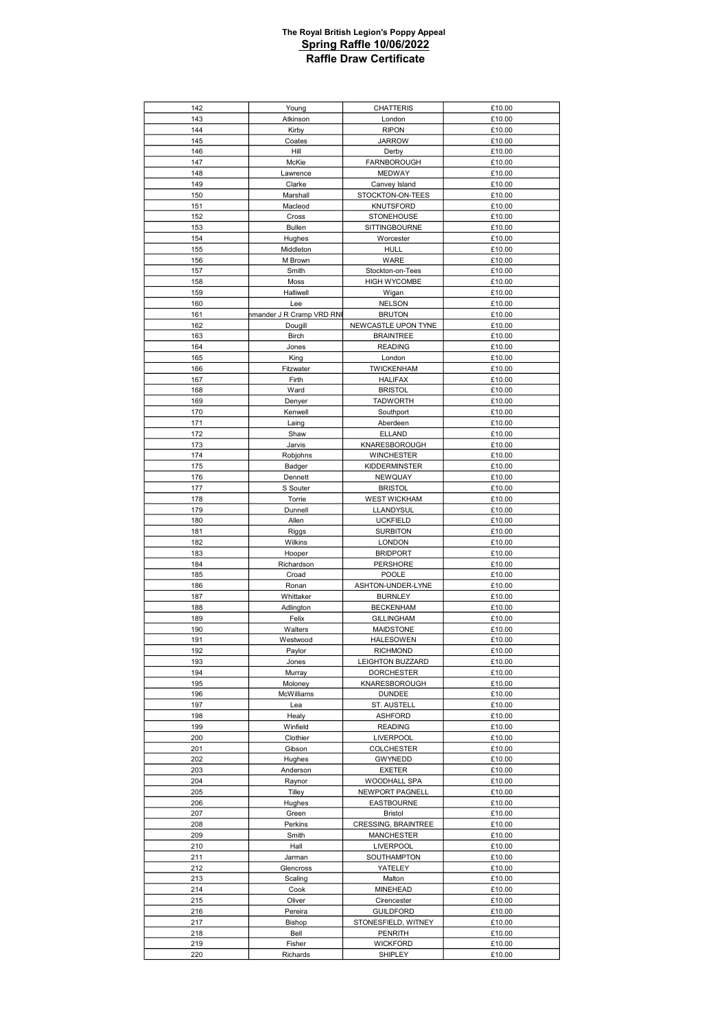| 142 | Young                     | <b>CHATTERIS</b>     | £10.00 |
|-----|---------------------------|----------------------|--------|
| 143 | Atkinson                  | London               | £10.00 |
| 144 | Kirby                     | <b>RIPON</b>         | £10.00 |
|     |                           | <b>JARROW</b>        |        |
| 145 | Coates                    |                      | £10.00 |
| 146 | Hill                      | Derby                | £10.00 |
| 147 | McKie                     | <b>FARNBOROUGH</b>   | £10.00 |
| 148 | Lawrence                  | <b>MEDWAY</b>        | £10.00 |
| 149 | Clarke                    | Canvey Island        | £10.00 |
| 150 | Marshall                  | STOCKTON-ON-TEES     | £10.00 |
| 151 | Macleod                   | <b>KNUTSFORD</b>     | £10.00 |
| 152 | Cross                     | <b>STONEHOUSE</b>    | £10.00 |
|     |                           |                      |        |
| 153 | Bullen                    | <b>SITTINGBOURNE</b> | £10.00 |
| 154 | Hughes                    | Worcester            | £10.00 |
| 155 | Middleton                 | <b>HULL</b>          | £10.00 |
| 156 | M Brown                   | WARE                 | £10.00 |
| 157 | Smith                     | Stockton-on-Tees     | £10.00 |
| 158 | Moss                      | <b>HIGH WYCOMBE</b>  | £10.00 |
| 159 | Halliwell                 | Wigan                | £10.00 |
| 160 | Lee                       | <b>NELSON</b>        | £10.00 |
| 161 | nmander J R Cramp VRD RNI | <b>BRUTON</b>        | £10.00 |
|     |                           |                      |        |
| 162 | Dougill                   | NEWCASTLE UPON TYNE  | £10.00 |
| 163 | Birch                     | <b>BRAINTREE</b>     | £10.00 |
| 164 | Jones                     | <b>READING</b>       | £10.00 |
| 165 | King                      | London               | £10.00 |
| 166 | Fitzwater                 | <b>TWICKENHAM</b>    | £10.00 |
| 167 | Firth                     | <b>HALIFAX</b>       | £10.00 |
| 168 | Ward                      | <b>BRISTOL</b>       | £10.00 |
| 169 | Denyer                    | <b>TADWORTH</b>      | £10.00 |
| 170 | Kenwell                   | Southport            | £10.00 |
|     |                           |                      |        |
| 171 | Laing                     | Aberdeen             | £10.00 |
| 172 | Shaw                      | <b>ELLAND</b>        | £10.00 |
| 173 | Jarvis                    | KNARESBOROUGH        | £10.00 |
| 174 | Robjohns                  | <b>WINCHESTER</b>    | £10.00 |
| 175 | Badger                    | KIDDERMINSTER        | £10.00 |
| 176 | Dennett                   | NEWQUAY              | £10.00 |
| 177 | S Souter                  | <b>BRISTOL</b>       | £10.00 |
| 178 | Torrie                    | <b>WEST WICKHAM</b>  | £10.00 |
| 179 | Dunnell                   | LLANDYSUL            | £10.00 |
|     |                           |                      |        |
| 180 | Allen                     | <b>UCKFIELD</b>      | £10.00 |
| 181 |                           |                      |        |
|     | Riggs                     | <b>SURBITON</b>      | £10.00 |
| 182 | Wilkins                   | <b>LONDON</b>        | £10.00 |
| 183 | Hooper                    | <b>BRIDPORT</b>      | £10.00 |
| 184 | Richardson                | PERSHORE             | £10.00 |
| 185 | Croad                     | POOLE                | £10.00 |
| 186 | Ronan                     | ASHTON-UNDER-LYNE    | £10.00 |
|     |                           |                      |        |
| 187 | Whittaker                 | <b>BURNLEY</b>       | £10.00 |
| 188 | Adlington                 | <b>BECKENHAM</b>     | £10.00 |
| 189 | Felix                     | <b>GILLINGHAM</b>    | £10.00 |
| 190 | Walters                   | <b>MAIDSTONE</b>     | £10.00 |
| 191 | Westwood                  | <b>HALESOWEN</b>     | £10.00 |
| 192 | Paylor                    | <b>RICHMOND</b>      | £10.00 |
| 193 | Jones                     | LEIGHTON BUZZARD     | £10.00 |
| 194 | Murray                    | <b>DORCHESTER</b>    | £10.00 |
| 195 | Moloney                   | KNARESBOROUGH        | £10.00 |
| 196 | McWilliams                | <b>DUNDEE</b>        | £10.00 |
| 197 | Lea                       | ST. AUSTELL          | £10.00 |
| 198 | Healy                     | ASHFORD              | £10.00 |
| 199 | Winfield                  | <b>READING</b>       | £10.00 |
|     |                           |                      |        |
| 200 | Clothier                  | <b>LIVERPOOL</b>     | £10.00 |
| 201 | Gibson                    | <b>COLCHESTER</b>    | £10.00 |
| 202 | Hughes                    | GWYNEDD              | £10.00 |
| 203 | Anderson                  | <b>EXETER</b>        | £10.00 |
| 204 | Raynor                    | WOODHALL SPA         | £10.00 |
| 205 | Tilley                    | NEWPORT PAGNELL      | £10.00 |
| 206 | Hughes                    | <b>EASTBOURNE</b>    | £10.00 |
| 207 | Green                     | <b>Bristol</b>       | £10.00 |
| 208 | Perkins                   | CRESSING, BRAINTREE  | £10.00 |
| 209 | Smith                     | MANCHESTER           | £10.00 |
| 210 | Hall                      | <b>LIVERPOOL</b>     | £10.00 |
| 211 | Jarman                    | SOUTHAMPTON          | £10.00 |
|     |                           |                      |        |
| 212 | Glencross                 | YATELEY              | £10.00 |
| 213 | Scaling                   | Malton               | £10.00 |
| 214 | Cook                      | <b>MINEHEAD</b>      | £10.00 |
| 215 | Oliver                    | Cirencester          | £10.00 |
| 216 | Pereira                   | <b>GUILDFORD</b>     | £10.00 |
| 217 | Bishop                    | STONESFIELD, WITNEY  | £10.00 |
| 218 | Bell                      | PENRITH              | £10.00 |
| 219 | Fisher                    | <b>WICKFORD</b>      | £10.00 |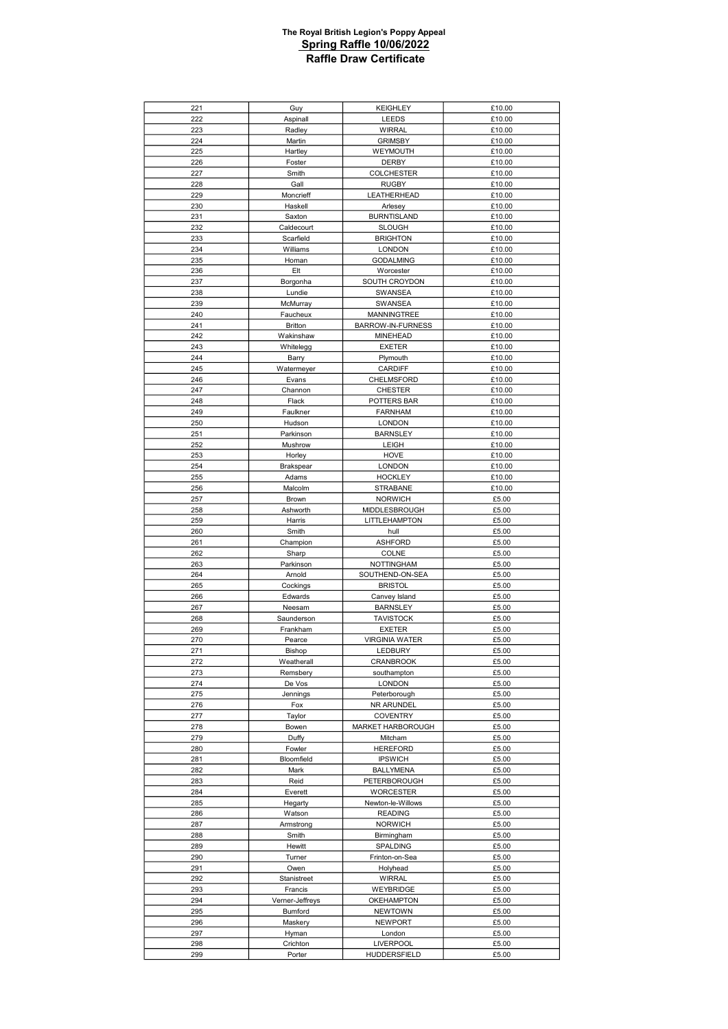| 221        | Guy                | <b>KEIGHLEY</b>                  | £10.00         |
|------------|--------------------|----------------------------------|----------------|
| 222        | Aspinall           | LEEDS                            | £10.00         |
| 223        | Radley             | <b>WIRRAL</b>                    | £10.00         |
| 224        | Martin             | <b>GRIMSBY</b>                   | £10.00         |
| 225        | Hartley            | WEYMOUTH                         | £10.00         |
| 226        | Foster             | <b>DERBY</b>                     | £10.00         |
| 227        | Smith              | <b>COLCHESTER</b>                | £10.00         |
| 228        | Gall               | <b>RUGBY</b>                     | £10.00         |
|            |                    |                                  |                |
| 229        | Moncrieff          | LEATHERHEAD                      | £10.00         |
| 230        | Haskell            | Arlesey                          | £10.00         |
| 231        | Saxton             | <b>BURNTISLAND</b>               | £10.00         |
| 232        | Caldecourt         | <b>SLOUGH</b>                    | £10.00         |
| 233        | Scarfield          | <b>BRIGHTON</b>                  | £10.00         |
| 234        | Williams           | <b>LONDON</b>                    | £10.00         |
| 235        | Homan              | <b>GODALMING</b>                 | £10.00         |
| 236        | Elt                | Worcester                        | £10.00         |
| 237        | Borgonha           | SOUTH CROYDON                    | £10.00         |
| 238        | Lundie             | SWANSEA                          | £10.00         |
| 239        | McMurray           | SWANSEA                          | £10.00         |
| 240        | Faucheux           | <b>MANNINGTREE</b>               | £10.00         |
| 241        | <b>Britton</b>     | BARROW-IN-FURNESS                | £10.00         |
| 242        | Wakinshaw          | <b>MINEHEAD</b>                  | £10.00         |
|            |                    |                                  |                |
| 243        | Whitelegg          | <b>EXETER</b>                    | £10.00         |
| 244        | Barry              | Plymouth                         | £10.00         |
| 245        | Watermeyer         | <b>CARDIFF</b>                   | £10.00         |
| 246        | Evans              | CHELMSFORD                       | £10.00         |
| 247        | Channon            | <b>CHESTER</b>                   | £10.00         |
| 248        | Flack              | POTTERS BAR                      | £10.00         |
| 249        | Faulkner           | <b>FARNHAM</b>                   | £10.00         |
| 250        | Hudson             | <b>LONDON</b>                    | £10.00         |
| 251        | Parkinson          | <b>BARNSLEY</b>                  | £10.00         |
| 252        | Mushrow            | <b>LEIGH</b>                     | £10.00         |
| 253        | Horley             | HOVE                             | £10.00         |
| 254        | Brakspear          | <b>LONDON</b>                    | £10.00         |
| 255        | Adams              | <b>HOCKLEY</b>                   | £10.00         |
|            |                    |                                  |                |
| 256        | Malcolm            | <b>STRABANE</b>                  | £10.00         |
| 257        | Brown              | <b>NORWICH</b>                   | £5.00          |
| 258        | Ashworth           | MIDDLESBROUGH                    | £5.00          |
| 259        | Harris             | LITTLEHAMPTON                    | £5.00          |
| 260        | Smith              | hull                             | £5.00          |
| 261        | Champion           | <b>ASHFORD</b>                   | £5.00          |
| 262        | Sharp              | <b>COLNE</b>                     | £5.00          |
| 263        | Parkinson          | <b>NOTTINGHAM</b>                | £5.00          |
| 264        | Arnold             | SOUTHEND-ON-SEA                  | £5.00          |
| 265        | Cockings           | <b>BRISTOL</b>                   | £5.00          |
| 266        | Edwards            | Canvey Island                    | £5.00          |
| 267        | Neesam             | <b>BARNSLEY</b>                  | £5.00          |
| 268        | Saunderson         | <b>TAVISTOCK</b>                 | £5.00          |
|            |                    |                                  |                |
| 269        | Frankham           | <b>EXETER</b>                    | £5.00          |
| 270        | Pearce             | <b>VIRGINIA WATER</b>            | £5.00          |
| 271        | Bishop             | <b>LEDBURY</b>                   | £5.00          |
| 272        | Weatherall         | <b>CRANBROOK</b>                 | £5.00          |
| 273        | Remsbery           | southampton                      | £5.00          |
| 274        | De Vos             | <b>LONDON</b>                    | £5.00          |
| 275        |                    |                                  |                |
|            | Jennings           | Peterborough                     | £5.00          |
| 276        | Fox                | NR ARUNDEL                       | £5.00          |
| 277        | Taylor             | <b>COVENTRY</b>                  | £5.00          |
| 278        | Bowen              | MARKET HARBOROUGH                | £5.00          |
|            |                    |                                  |                |
| 279        | Duffy              | Mitcham                          | £5.00          |
| 280        | Fowler             | <b>HEREFORD</b>                  | £5.00          |
| 281        | Bloomfield         | <b>IPSWICH</b>                   | £5.00          |
| 282        | Mark               | <b>BALLYMENA</b>                 | £5.00          |
| 283        | Reid               | PETERBOROUGH                     | £5.00          |
| 284        | Everett            | <b>WORCESTER</b>                 | £5.00          |
| 285        | Hegarty            | Newton-le-Willows                | £5.00          |
| 286        | Watson             | <b>READING</b>                   | £5.00          |
| 287        | Armstrong          | <b>NORWICH</b>                   | £5.00          |
| 288        | Smith              | Birmingham                       | £5.00          |
| 289        | Hewitt             | SPALDING                         | £5.00          |
| 290        | Turner             | Frinton-on-Sea                   | £5.00          |
| 291        | Owen               | Holyhead                         | £5.00          |
| 292        | Stanistreet        | <b>WIRRAL</b>                    | £5.00          |
|            |                    |                                  |                |
| 293        | Francis            | WEYBRIDGE                        | £5.00          |
| 294        | Verner-Jeffreys    | OKEHAMPTON                       | £5.00          |
| 295        | Bumford            | <b>NEWTOWN</b>                   | £5.00          |
| 296        | Maskery            | NEWPORT                          | £5.00          |
| 297        | Hyman              | London                           | £5.00          |
| 298<br>299 | Crichton<br>Porter | <b>LIVERPOOL</b><br>HUDDERSFIELD | £5.00<br>£5.00 |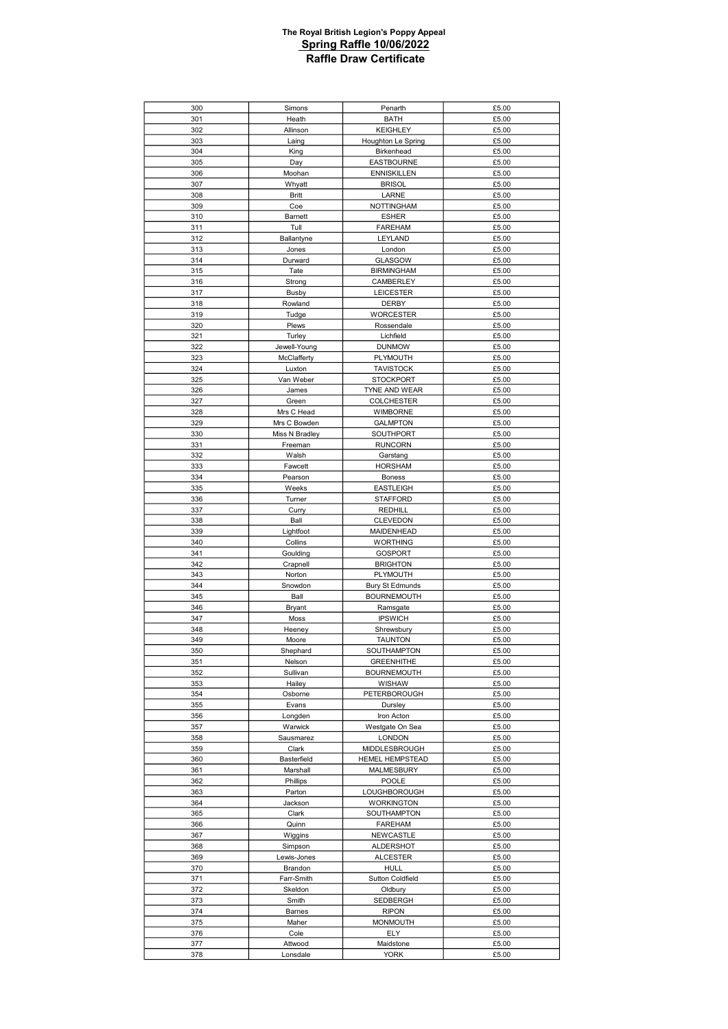| 300        | Simons               | Penarth                           | £5.00          |
|------------|----------------------|-----------------------------------|----------------|
| 301        | Heath                | <b>BATH</b>                       | £5.00          |
| 302        | Allinson             | <b>KEIGHLEY</b>                   | £5.00          |
| 303        | Laing                | Houghton Le Spring                | £5.00          |
| 304        | King                 | Birkenhead                        | £5.00          |
| 305        | Day                  | <b>EASTBOURNE</b>                 | £5.00          |
| 306        | Moohan               | <b>ENNISKILLEN</b>                | £5.00          |
| 307        | Whyatt               | <b>BRISOL</b>                     | £5.00          |
| 308        | <b>Britt</b>         | LARNE                             | £5.00          |
| 309        | Coe                  | <b>NOTTINGHAM</b>                 | £5.00          |
| 310        | Barnett              | <b>ESHER</b>                      | £5.00          |
| 311        | Tull                 | <b>FAREHAM</b>                    | £5.00          |
| 312        | Ballantyne           | LEYLAND                           | £5.00          |
| 313        | Jones                | London                            | £5.00          |
| 314        | Durward              | <b>GLASGOW</b>                    | £5.00          |
| 315        | Tate                 | <b>BIRMINGHAM</b>                 | £5.00          |
| 316        | Strong               | CAMBERLEY                         | £5.00          |
| 317        | Busby                | <b>LEICESTER</b>                  | £5.00          |
| 318        | Rowland              | DERBY                             | £5.00          |
| 319        | Tudge                | <b>WORCESTER</b>                  | £5.00          |
| 320        | Plews                | Rossendale                        | £5.00          |
| 321        | Turley               | Lichfield                         | £5.00          |
| 322        | Jewell-Young         | <b>DUNMOW</b>                     | £5.00          |
| 323        | McClafferty          | PLYMOUTH                          | £5.00          |
| 324        | Luxton               | <b>TAVISTOCK</b>                  | £5.00          |
| 325        | Van Weber            | <b>STOCKPORT</b>                  | £5.00          |
| 326        | James                | TYNE AND WEAR                     | £5.00          |
| 327        | Green                | <b>COLCHESTER</b>                 | £5.00          |
| 328        | Mrs C Head           | WIMBORNE                          | £5.00          |
| 329        | Mrs C Bowden         | <b>GALMPTON</b>                   | £5.00          |
| 330        | Miss N Bradley       | SOUTHPORT                         | £5.00          |
| 331        | Freeman              | <b>RUNCORN</b>                    | £5.00          |
| 332        | Walsh                | Garstang                          | £5.00          |
| 333        | Fawcett              | <b>HORSHAM</b>                    | £5.00          |
| 334        | Pearson              | <b>Boness</b>                     | £5.00          |
| 335        | Weeks                | <b>EASTLEIGH</b>                  | £5.00          |
| 336        | Turner               | <b>STAFFORD</b>                   | £5.00          |
| 337        | Curry                | <b>REDHILL</b>                    | £5.00          |
| 338        | Ball                 | <b>CLEVEDON</b>                   | £5.00          |
| 339        | Lightfoot            | MAIDENHEAD                        | £5.00          |
| 340        | Collins              | <b>WORTHING</b>                   | £5.00          |
| 341<br>342 | Goulding<br>Crapnell | <b>GOSPORT</b><br><b>BRIGHTON</b> | £5.00<br>£5.00 |
| 343        | Norton               | PLYMOUTH                          | £5.00          |
| 344        | Snowdon              | <b>Bury St Edmunds</b>            | £5.00          |
| 345        | Ball                 | <b>BOURNEMOUTH</b>                | £5.00          |
| 346        | <b>Bryant</b>        | Ramsgate                          | £5.00          |
| 347        | Moss                 | <b>IPSWICH</b>                    | £5.00          |
| 348        | Heeney               | Shrewsbury                        | £5.00          |
| 349        | Moore                | <b>TAUNTON</b>                    | £5.00          |
| 350        | Shephard             | <b>SOUTHAMPTON</b>                | £5.00          |
| 351        | Nelson               | <b>GREENHITHE</b>                 | £5.00          |
| 352        | Sullivan             | <b>BOURNEMOUTH</b>                | £5.00          |
| 353        | Hailey               | WISHAW                            | £5.00          |
| 354        | Osborne              | PETERBOROUGH                      | £5.00          |
| 355        | Evans                | Dursley                           | £5.00          |
| 356        | Longden              | Iron Acton                        | £5.00          |
| 357        | Warwick              | Westgate On Sea                   | £5.00          |
| 358        | Sausmarez            | <b>LONDON</b>                     | £5.00          |
| 359        | Clark                | MIDDLESBROUGH                     | £5.00          |
| 360        | Basterfield          | <b>HEMEL HEMPSTEAD</b>            | £5.00          |
| 361        | Marshall             | MALMESBURY                        | £5.00          |
| 362        | Phillips             | POOLE                             | £5.00          |
| 363        | Parton               | LOUGHBOROUGH                      | £5.00          |
| 364        |                      |                                   |                |
| 365        | Jackson              | <b>WORKINGTON</b>                 | £5.00          |
|            | Clark                | SOUTHAMPTON                       | £5.00          |
| 366        | Quinn                | FAREHAM                           | £5.00          |
| 367        | Wiggins              | NEWCASTLE                         | £5.00          |
| 368        | Simpson              | ALDERSHOT                         | £5.00          |
| 369        | Lewis-Jones          | <b>ALCESTER</b>                   | £5.00          |
| 370        | Brandon              | <b>HULL</b>                       | £5.00          |
| 371        | Farr-Smith           | <b>Sutton Coldfield</b>           | £5.00          |
| 372        | Skeldon              | Oldbury                           | £5.00          |
| 373        | Smith                | SEDBERGH                          | £5.00          |
| 374        | Barnes               | <b>RIPON</b>                      | £5.00          |
| 375<br>376 | Maher<br>Cole        | <b>MONMOUTH</b><br>ELY            | £5.00<br>£5.00 |
| 377        | Attwood              | Maidstone                         | £5.00          |